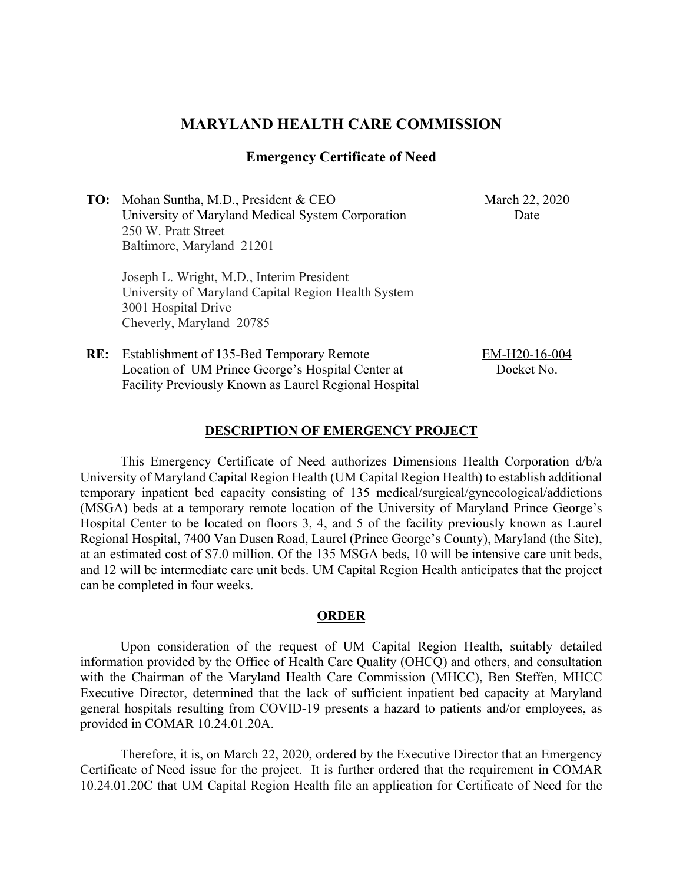# **MARYLAND HEALTH CARE COMMISSION**

### **Emergency Certificate of Need**

**TO:** Mohan Suntha, M.D., President & CEO University of Maryland Medical System Corporation 250 W. Pratt Street Baltimore, Maryland 21201

**RE:** Establishment of 135-Bed Temporary Remote

March 22, 2020 Date

Joseph L. Wright, M.D., Interim President University of Maryland Capital Region Health System 3001 Hospital Drive Cheverly, Maryland 20785

Location of UM Prince George's Hospital Center at Facility Previously Known as Laurel Regional Hospital EM-H20-16-004 Docket No.

This Emergency Certificate of Need authorizes Dimensions Health Corporation d/b/a University of Maryland Capital Region Health (UM Capital Region Health) to establish additional temporary inpatient bed capacity consisting of 135 medical/surgical/gynecological/addictions (MSGA) beds at a temporary remote location of the University of Maryland Prince George's Hospital Center to be located on floors 3, 4, and 5 of the facility previously known as Laurel Regional Hospital, 7400 Van Dusen Road, Laurel (Prince George's County), Maryland (the Site), at an estimated cost of \$7.0 million. Of the 135 MSGA beds, 10 will be intensive care unit beds, and 12 will be intermediate care unit beds. UM Capital Region Health anticipates that the project can be completed in four weeks.

**DESCRIPTION OF EMERGENCY PROJECT**

#### **ORDER**

Upon consideration of the request of UM Capital Region Health, suitably detailed information provided by the Office of Health Care Quality (OHCQ) and others, and consultation with the Chairman of the Maryland Health Care Commission (MHCC), Ben Steffen, MHCC Executive Director, determined that the lack of sufficient inpatient bed capacity at Maryland general hospitals resulting from COVID-19 presents a hazard to patients and/or employees, as provided in COMAR 10.24.01.20A.

Therefore, it is, on March 22, 2020, ordered by the Executive Director that an Emergency Certificate of Need issue for the project. It is further ordered that the requirement in COMAR 10.24.01.20C that UM Capital Region Health file an application for Certificate of Need for the